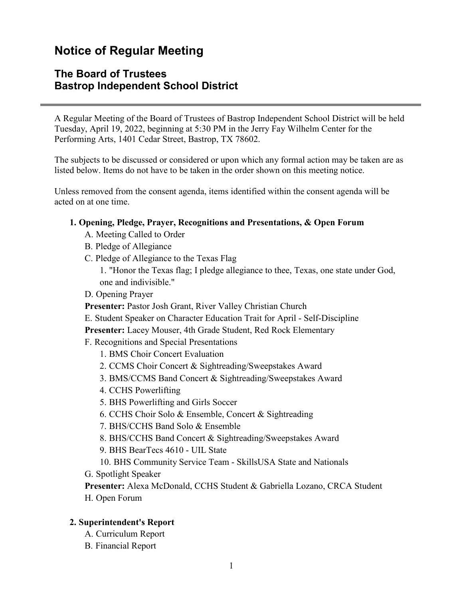# **Notice of Regular Meeting**

## **The Board of Trustees Bastrop Independent School District**

A Regular Meeting of the Board of Trustees of Bastrop Independent School District will be held Tuesday, April 19, 2022, beginning at 5:30 PM in the Jerry Fay Wilhelm Center for the Performing Arts, 1401 Cedar Street, Bastrop, TX 78602.

The subjects to be discussed or considered or upon which any formal action may be taken are as listed below. Items do not have to be taken in the order shown on this meeting notice.

Unless removed from the consent agenda, items identified within the consent agenda will be acted on at one time.

### **1. Opening, Pledge, Prayer, Recognitions and Presentations, & Open Forum**

- A. Meeting Called to Order
- B. Pledge of Allegiance
- C. Pledge of Allegiance to the Texas Flag
	- 1. "Honor the Texas flag; I pledge allegiance to thee, Texas, one state under God, one and indivisible."
- D. Opening Prayer
- **Presenter:** Pastor Josh Grant, River Valley Christian Church
- E. Student Speaker on Character Education Trait for April Self-Discipline

**Presenter:** Lacey Mouser, 4th Grade Student, Red Rock Elementary

- F. Recognitions and Special Presentations
	- 1. BMS Choir Concert Evaluation
	- 2. CCMS Choir Concert & Sightreading/Sweepstakes Award
	- 3. BMS/CCMS Band Concert & Sightreading/Sweepstakes Award
	- 4. CCHS Powerlifting
	- 5. BHS Powerlifting and Girls Soccer
	- 6. CCHS Choir Solo & Ensemble, Concert & Sightreading
	- 7. BHS/CCHS Band Solo & Ensemble
	- 8. BHS/CCHS Band Concert & Sightreading/Sweepstakes Award
	- 9. BHS BearTecs 4610 UIL State
	- 10. BHS Community Service Team SkillsUSA State and Nationals
- G. Spotlight Speaker

**Presenter:** Alexa McDonald, CCHS Student & Gabriella Lozano, CRCA Student H. Open Forum

## **2. Superintendent's Report**

- A. Curriculum Report
- B. Financial Report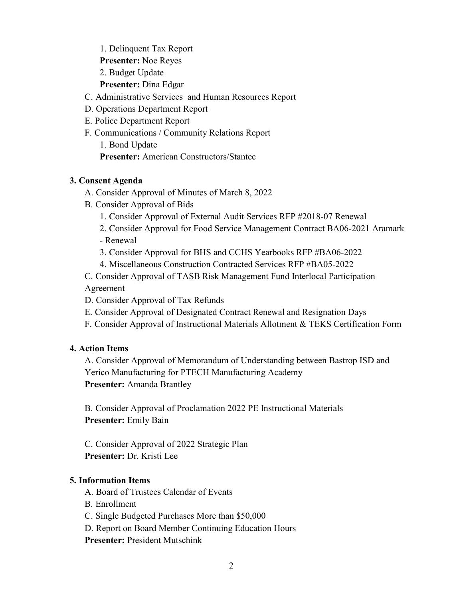1. Delinquent Tax Report

**Presenter:** Noe Reyes

2. Budget Update

**Presenter:** Dina Edgar

C. Administrative Services and Human Resources Report

- D. Operations Department Report
- E. Police Department Report
- F. Communications / Community Relations Report
	- 1. Bond Update

**Presenter:** American Constructors/Stantec

## **3. Consent Agenda**

- A. Consider Approval of Minutes of March 8, 2022
- B. Consider Approval of Bids
	- 1. Consider Approval of External Audit Services RFP #2018-07 Renewal
	- 2. Consider Approval for Food Service Management Contract BA06-2021 Aramark
	- Renewal
	- 3. Consider Approval for BHS and CCHS Yearbooks RFP #BA06-2022
	- 4. Miscellaneous Construction Contracted Services RFP #BA05-2022

C. Consider Approval of TASB Risk Management Fund Interlocal Participation Agreement

- D. Consider Approval of Tax Refunds
- E. Consider Approval of Designated Contract Renewal and Resignation Days
- F. Consider Approval of Instructional Materials Allotment & TEKS Certification Form

## **4. Action Items**

A. Consider Approval of Memorandum of Understanding between Bastrop ISD and Yerico Manufacturing for PTECH Manufacturing Academy **Presenter:** Amanda Brantley

B. Consider Approval of Proclamation 2022 PE Instructional Materials **Presenter:** Emily Bain

C. Consider Approval of 2022 Strategic Plan **Presenter:** Dr. Kristi Lee

## **5. Information Items**

- A. Board of Trustees Calendar of Events
- B. Enrollment
- C. Single Budgeted Purchases More than \$50,000
- D. Report on Board Member Continuing Education Hours

**Presenter:** President Mutschink